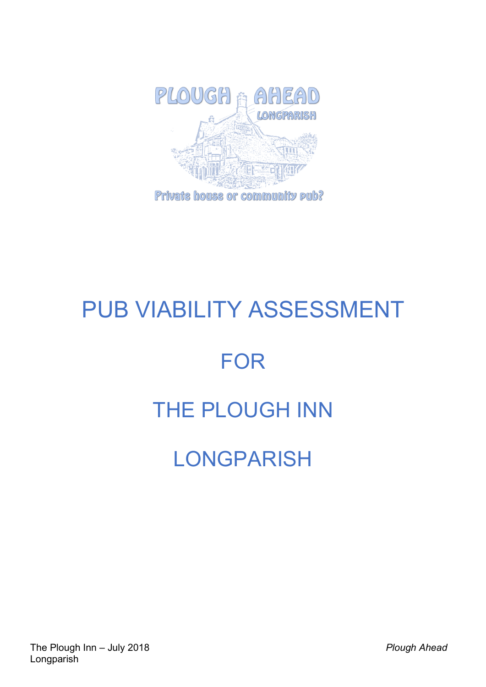

# PUB VIABILITY ASSESSMENT

# FOR

# THE PLOUGH INN

# **LONGPARISH**

The Plough Inn – July 2018 *Plough Ahead* Longparish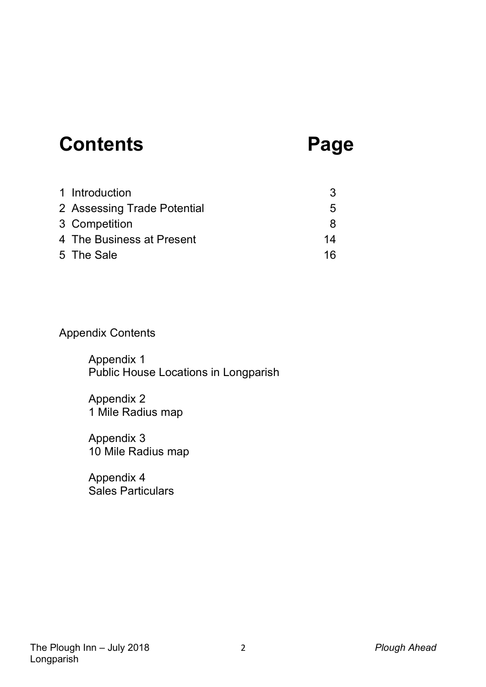# **Contents Page**

| 1 Introduction              | 3            |
|-----------------------------|--------------|
| 2 Assessing Trade Potential | $\mathbf{b}$ |
| 3 Competition               | Я            |
| 4 The Business at Present   | 14           |
| 5 The Sale                  | 16           |

# Appendix Contents

Appendix 1 Public House Locations in Longparish

Appendix 2 1 Mile Radius map

Appendix 3 10 Mile Radius map

Appendix 4 Sales Particulars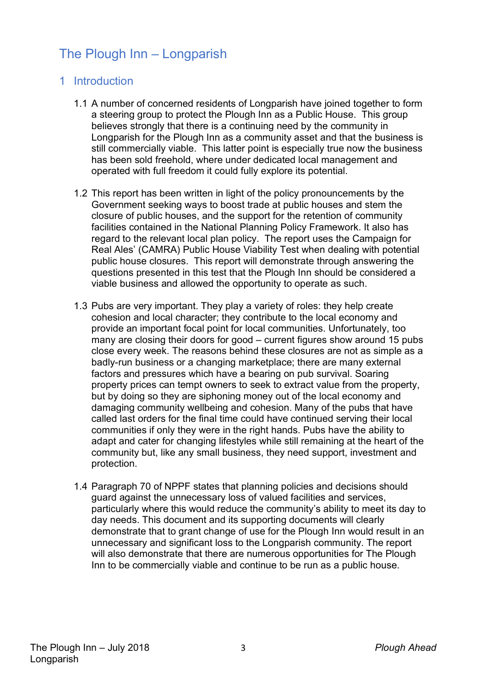# The Plough Inn – Longparish

### 1 Introduction

- 1.1 A number of concerned residents of Longparish have joined together to form a steering group to protect the Plough Inn as a Public House. This group believes strongly that there is a continuing need by the community in Longparish for the Plough Inn as a community asset and that the business is still commercially viable. This latter point is especially true now the business has been sold freehold, where under dedicated local management and operated with full freedom it could fully explore its potential.
- 1.2 This report has been written in light of the policy pronouncements by the Government seeking ways to boost trade at public houses and stem the closure of public houses, and the support for the retention of community facilities contained in the National Planning Policy Framework. It also has regard to the relevant local plan policy. The report uses the Campaign for Real Ales' (CAMRA) Public House Viability Test when dealing with potential public house closures. This report will demonstrate through answering the questions presented in this test that the Plough Inn should be considered a viable business and allowed the opportunity to operate as such.
- 1.3 Pubs are very important. They play a variety of roles: they help create cohesion and local character; they contribute to the local economy and provide an important focal point for local communities. Unfortunately, too many are closing their doors for good – current figures show around 15 pubs close every week. The reasons behind these closures are not as simple as a badly-run business or a changing marketplace; there are many external factors and pressures which have a bearing on pub survival. Soaring property prices can tempt owners to seek to extract value from the property, but by doing so they are siphoning money out of the local economy and damaging community wellbeing and cohesion. Many of the pubs that have called last orders for the final time could have continued serving their local communities if only they were in the right hands. Pubs have the ability to adapt and cater for changing lifestyles while still remaining at the heart of the community but, like any small business, they need support, investment and protection.
- 1.4 Paragraph 70 of NPPF states that planning policies and decisions should guard against the unnecessary loss of valued facilities and services, particularly where this would reduce the community's ability to meet its day to day needs. This document and its supporting documents will clearly demonstrate that to grant change of use for the Plough Inn would result in an unnecessary and significant loss to the Longparish community. The report will also demonstrate that there are numerous opportunities for The Plough Inn to be commercially viable and continue to be run as a public house.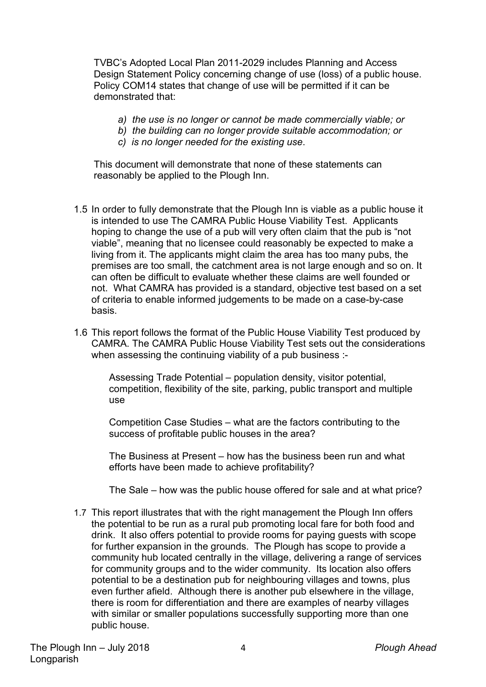TVBC's Adopted Local Plan 2011-2029 includes Planning and Access Design Statement Policy concerning change of use (loss) of a public house. Policy COM14 states that change of use will be permitted if it can be demonstrated that:

- *a) the use is no longer or cannot be made commercially viable; or*
- *b) the building can no longer provide suitable accommodation; or*
- *c) is no longer needed for the existing use*.

This document will demonstrate that none of these statements can reasonably be applied to the Plough Inn.

- 1.5 In order to fully demonstrate that the Plough Inn is viable as a public house it is intended to use The CAMRA Public House Viability Test. Applicants hoping to change the use of a pub will very often claim that the pub is "not viable", meaning that no licensee could reasonably be expected to make a living from it. The applicants might claim the area has too many pubs, the premises are too small, the catchment area is not large enough and so on. It can often be difficult to evaluate whether these claims are well founded or not. What CAMRA has provided is a standard, objective test based on a set of criteria to enable informed judgements to be made on a case-by-case basis.
- 1.6 This report follows the format of the Public House Viability Test produced by CAMRA. The CAMRA Public House Viability Test sets out the considerations when assessing the continuing viability of a pub business :-

Assessing Trade Potential – population density, visitor potential, competition, flexibility of the site, parking, public transport and multiple use

Competition Case Studies – what are the factors contributing to the success of profitable public houses in the area?

The Business at Present – how has the business been run and what efforts have been made to achieve profitability?

The Sale – how was the public house offered for sale and at what price?

1.7 This report illustrates that with the right management the Plough Inn offers the potential to be run as a rural pub promoting local fare for both food and drink. It also offers potential to provide rooms for paying guests with scope for further expansion in the grounds. The Plough has scope to provide a community hub located centrally in the village, delivering a range of services for community groups and to the wider community. Its location also offers potential to be a destination pub for neighbouring villages and towns, plus even further afield. Although there is another pub elsewhere in the village, there is room for differentiation and there are examples of nearby villages with similar or smaller populations successfully supporting more than one public house.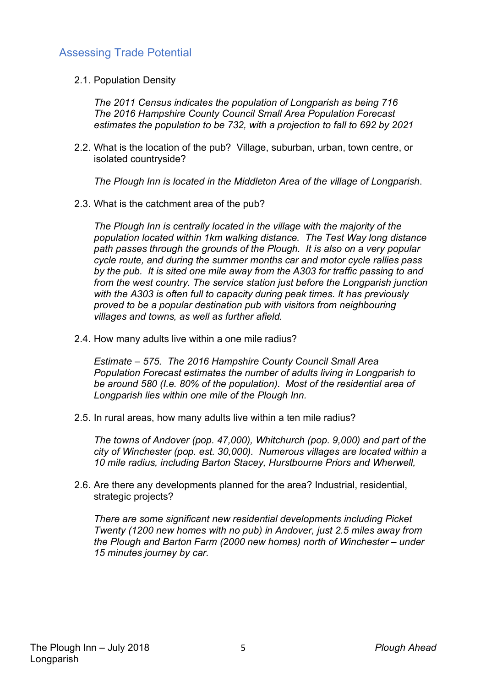# Assessing Trade Potential

2.1. Population Density

*The 2011 Census indicates the population of Longparish as being 716 The 2016 Hampshire County Council Small Area Population Forecast estimates the population to be 732, with a projection to fall to 692 by 2021*

2.2. What is the location of the pub? Village, suburban, urban, town centre, or isolated countryside?

*The Plough Inn is located in the Middleton Area of the village of Longparish*.

2.3. What is the catchment area of the pub?

*The Plough Inn is centrally located in the village with the majority of the population located within 1km walking distance. The Test Way long distance path passes through the grounds of the Plough. It is also on a very popular cycle route, and during the summer months car and motor cycle rallies pass by the pub. It is sited one mile away from the A303 for traffic passing to and from the west country. The service station just before the Longparish junction with the A303 is often full to capacity during peak times. It has previously proved to be a popular destination pub with visitors from neighbouring villages and towns, as well as further afield.*

2.4. How many adults live within a one mile radius?

*Estimate – 575. The 2016 Hampshire County Council Small Area Population Forecast estimates the number of adults living in Longparish to be around 580 (I.e. 80% of the population). Most of the residential area of Longparish lies within one mile of the Plough Inn.* 

2.5. In rural areas, how many adults live within a ten mile radius?

*The towns of Andover (pop. 47,000), Whitchurch (pop. 9,000) and part of the city of Winchester (pop. est. 30,000). Numerous villages are located within a 10 mile radius, including Barton Stacey, Hurstbourne Priors and Wherwell,* 

2.6. Are there any developments planned for the area? Industrial, residential, strategic projects?

*There are some significant new residential developments including Picket Twenty (1200 new homes with no pub) in Andover, just 2.5 miles away from the Plough and Barton Farm (2000 new homes) north of Winchester – under 15 minutes journey by car.*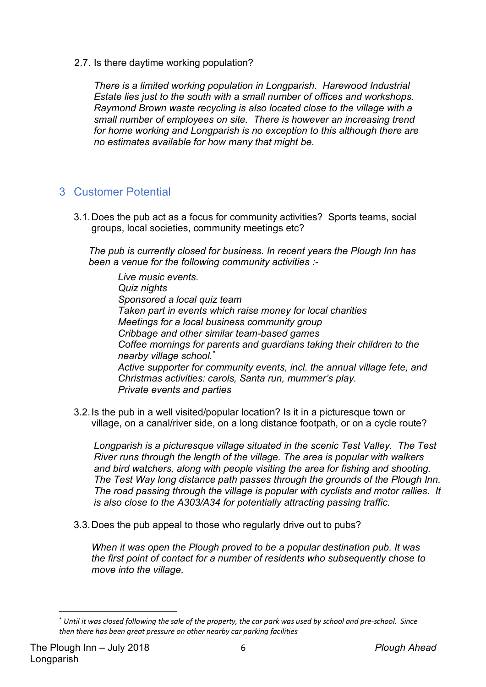2.7. Is there daytime working population?

*There is a limited working population in Longparish. Harewood Industrial Estate lies just to the south with a small number of offices and workshops. Raymond Brown waste recycling is also located close to the village with a small number of employees on site. There is however an increasing trend for home working and Longparish is no exception to this although there are no estimates available for how many that might be.* 

### 3 Customer Potential

3.1.Does the pub act as a focus for community activities? Sports teams, social groups, local societies, community meetings etc?

*The pub is currently closed for business. In recent years the Plough Inn has been a venue for the following community activities :-*

*Live music events. Quiz nights Sponsored a local quiz team Taken part in events which raise money for local charities Meetings for a local business community group Cribbage and other similar team-based games Coffee mornings for parents and guardians taking their children to the nearby village school.\* Active supporter for community events, incl. the annual village fete, and Christmas activities: carols, Santa run, mummer's play. Private events and parties*

3.2.Is the pub in a well visited/popular location? Is it in a picturesque town or village, on a canal/river side, on a long distance footpath, or on a cycle route?

*Longparish is a picturesque village situated in the scenic Test Valley. The Test River runs through the length of the village. The area is popular with walkers and bird watchers, along with people visiting the area for fishing and shooting. The Test Way long distance path passes through the grounds of the Plough Inn. The road passing through the village is popular with cyclists and motor rallies. It is also close to the A303/A34 for potentially attracting passing traffic.* 

3.3.Does the pub appeal to those who regularly drive out to pubs?

*When it was open the Plough proved to be a popular destination pub. It was the first point of contact for a number of residents who subsequently chose to move into the village.*

 <sup>\*</sup> *Until it was closed following the sale of the property, the car park was used by school and pre-school. Since then there has been great pressure on other nearby car parking facilities*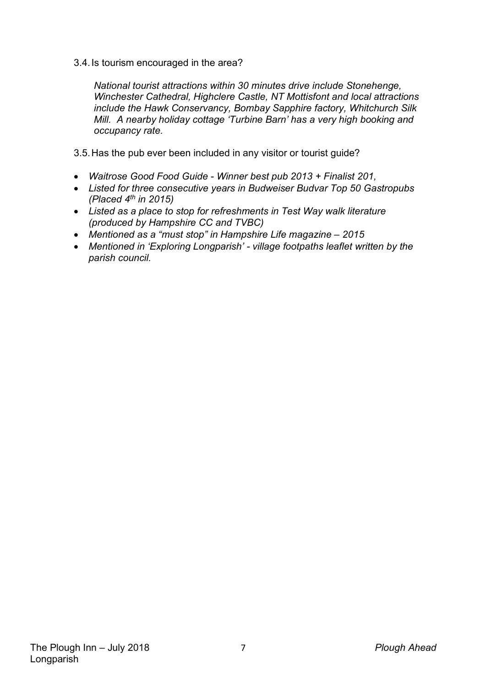3.4.Is tourism encouraged in the area?

*National tourist attractions within 30 minutes drive include Stonehenge, Winchester Cathedral, Highclere Castle, NT Mottisfont and local attractions include the Hawk Conservancy, Bombay Sapphire factory, Whitchurch Silk Mill. A nearby holiday cottage 'Turbine Barn' has a very high booking and occupancy rate.*

- 3.5.Has the pub ever been included in any visitor or tourist guide?
- *Waitrose Good Food Guide - Winner best pub 2013 + Finalist 201,*
- *Listed for three consecutive years in Budweiser Budvar Top 50 Gastropubs (Placed 4th in 2015)*
- *Listed as a place to stop for refreshments in Test Way walk literature (produced by Hampshire CC and TVBC)*
- *Mentioned as a "must stop" in Hampshire Life magazine – 2015*
- *Mentioned in 'Exploring Longparish' - village footpaths leaflet written by the parish council.*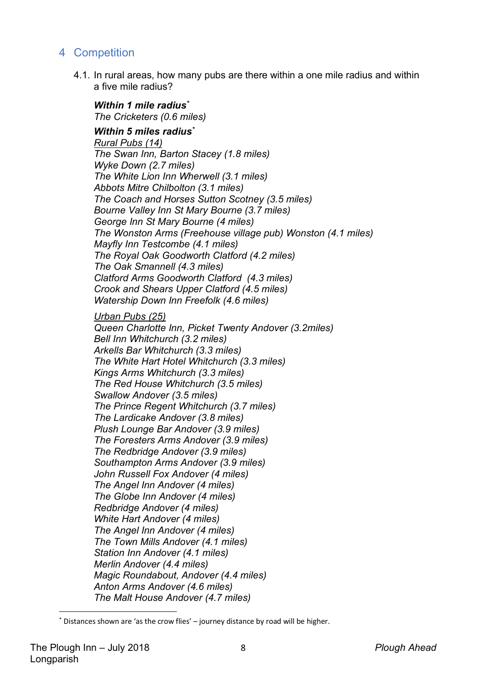## 4 Competition

4.1. In rural areas, how many pubs are there within a one mile radius and within a five mile radius?

*Within 1 mile radius\* The Cricketers (0.6 miles)*

#### *Within 5 miles radius\**

*Rural Pubs (14) The Swan Inn, Barton Stacey (1.8 miles) Wyke Down (2.7 miles) The White Lion Inn Wherwell (3.1 miles) Abbots Mitre Chilbolton (3.1 miles) The Coach and Horses Sutton Scotney (3.5 miles) Bourne Valley Inn St Mary Bourne (3.7 miles) George Inn St Mary Bourne (4 miles) The Wonston Arms (Freehouse village pub) Wonston (4.1 miles) Mayfly Inn Testcombe (4.1 miles) The Royal Oak Goodworth Clatford (4.2 miles) The Oak Smannell (4.3 miles) Clatford Arms Goodworth Clatford (4.3 miles) Crook and Shears Upper Clatford (4.5 miles) Watership Down Inn Freefolk (4.6 miles)*

#### *Urban Pubs (25)*

*Queen Charlotte Inn, Picket Twenty Andover (3.2miles) Bell Inn Whitchurch (3.2 miles) Arkells Bar Whitchurch (3.3 miles) The White Hart Hotel Whitchurch (3.3 miles) Kings Arms Whitchurch (3.3 miles) The Red House Whitchurch (3.5 miles) Swallow Andover (3.5 miles) The Prince Regent Whitchurch (3.7 miles) The Lardicake Andover (3.8 miles) Plush Lounge Bar Andover (3.9 miles) The Foresters Arms Andover (3.9 miles) The Redbridge Andover (3.9 miles) Southampton Arms Andover (3.9 miles) John Russell Fox Andover (4 miles) The Angel Inn Andover (4 miles) The Globe Inn Andover (4 miles) Redbridge Andover (4 miles) White Hart Andover (4 miles) The Angel Inn Andover (4 miles) The Town Mills Andover (4.1 miles) Station Inn Andover (4.1 miles) Merlin Andover (4.4 miles) Magic Roundabout, Andover (4.4 miles) Anton Arms Andover (4.6 miles) The Malt House Andover (4.7 miles)*

Distances shown are 'as the crow flies' – journey distance by road will be higher.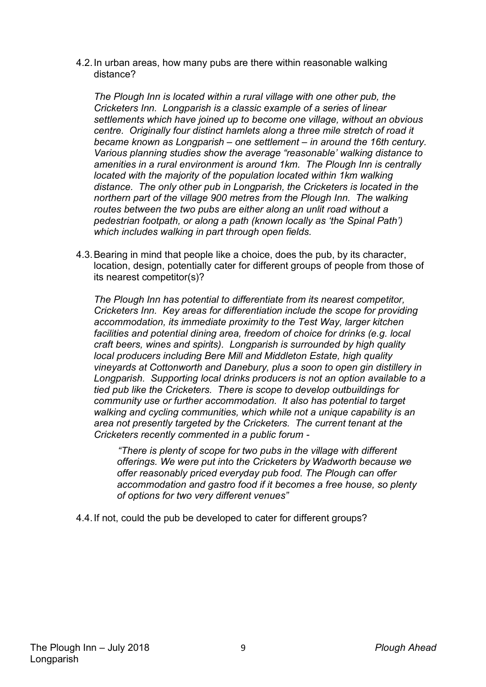4.2.In urban areas, how many pubs are there within reasonable walking distance?

*The Plough Inn is located within a rural village with one other pub, the Cricketers Inn. Longparish is a classic example of a series of linear settlements which have joined up to become one village, without an obvious centre. Originally four distinct hamlets along a three mile stretch of road it became known as Longparish – one settlement – in around the 16th century. Various planning studies show the average "reasonable' walking distance to amenities in a rural environment is around 1km. The Plough Inn is centrally located with the majority of the population located within 1km walking distance. The only other pub in Longparish, the Cricketers is located in the northern part of the village 900 metres from the Plough Inn. The walking routes between the two pubs are either along an unlit road without a pedestrian footpath, or along a path (known locally as 'the Spinal Path') which includes walking in part through open fields.*

4.3.Bearing in mind that people like a choice, does the pub, by its character, location, design, potentially cater for different groups of people from those of its nearest competitor(s)?

*The Plough Inn has potential to differentiate from its nearest competitor, Cricketers Inn. Key areas for differentiation include the scope for providing accommodation, its immediate proximity to the Test Way, larger kitchen facilities and potential dining area, freedom of choice for drinks (e.g. local craft beers, wines and spirits). Longparish is surrounded by high quality local producers including Bere Mill and Middleton Estate, high quality vineyards at Cottonworth and Danebury, plus a soon to open gin distillery in Longparish. Supporting local drinks producers is not an option available to a tied pub like the Cricketers. There is scope to develop outbuildings for community use or further accommodation. It also has potential to target walking and cycling communities, which while not a unique capability is an area not presently targeted by the Cricketers. The current tenant at the Cricketers recently commented in a public forum -*

*"There is plenty of scope for two pubs in the village with different offerings. We were put into the Cricketers by Wadworth because we offer reasonably priced everyday pub food. The Plough can offer accommodation and gastro food if it becomes a free house, so plenty of options for two very different venues"*

4.4.If not, could the pub be developed to cater for different groups?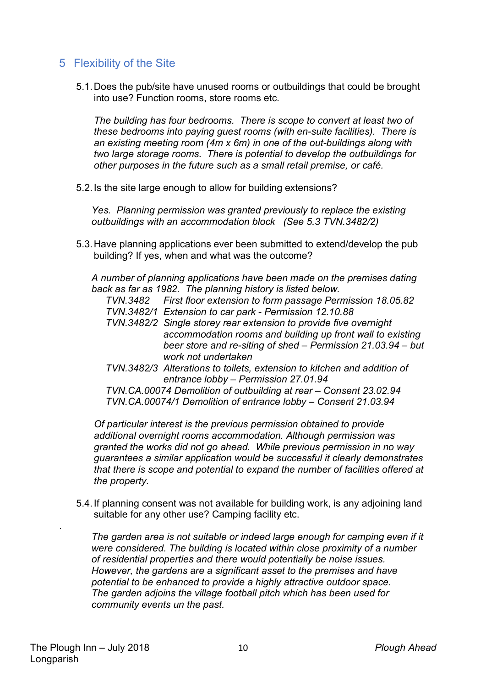## 5 Flexibility of the Site

5.1.Does the pub/site have unused rooms or outbuildings that could be brought into use? Function rooms, store rooms etc.

*The building has four bedrooms. There is scope to convert at least two of these bedrooms into paying guest rooms (with en-suite facilities). There is an existing meeting room (4m x 6m) in one of the out-buildings along with two large storage rooms. There is potential to develop the outbuildings for other purposes in the future such as a small retail premise, or café.*

5.2.Is the site large enough to allow for building extensions?

*Yes. Planning permission was granted previously to replace the existing outbuildings with an accommodation block (See 5.3 TVN.3482/2)*

5.3.Have planning applications ever been submitted to extend/develop the pub building? If yes, when and what was the outcome?

*A number of planning applications have been made on the premises dating back as far as 1982. The planning history is listed below.*

- *TVN.3482 First floor extension to form passage Permission 18.05.82*
- *TVN.3482/1 Extension to car park - Permission 12.10.88*
- *TVN.3482/2 Single storey rear extension to provide five overnight accommodation rooms and building up front wall to existing beer store and re-siting of shed – Permission 21.03.94 – but work not undertaken*
- *TVN.3482/3 Alterations to toilets, extension to kitchen and addition of entrance lobby – Permission 27.01.94*

*TVN.CA.00074 Demolition of outbuilding at rear – Consent 23.02.94 TVN.CA.00074/1 Demolition of entrance lobby – Consent 21.03.94*

*Of particular interest is the previous permission obtained to provide additional overnight rooms accommodation. Although permission was granted the works did not go ahead. While previous permission in no way guarantees a similar application would be successful it clearly demonstrates that there is scope and potential to expand the number of facilities offered at the property.*

5.4.If planning consent was not available for building work, is any adjoining land suitable for any other use? Camping facility etc.

The garden area is not suitable or indeed large enough for camping even if it *were considered. The building is located within close proximity of a number of residential properties and there would potentially be noise issues. However, the gardens are a significant asset to the premises and have potential to be enhanced to provide a highly attractive outdoor space. The garden adjoins the village football pitch which has been used for community events un the past.*

.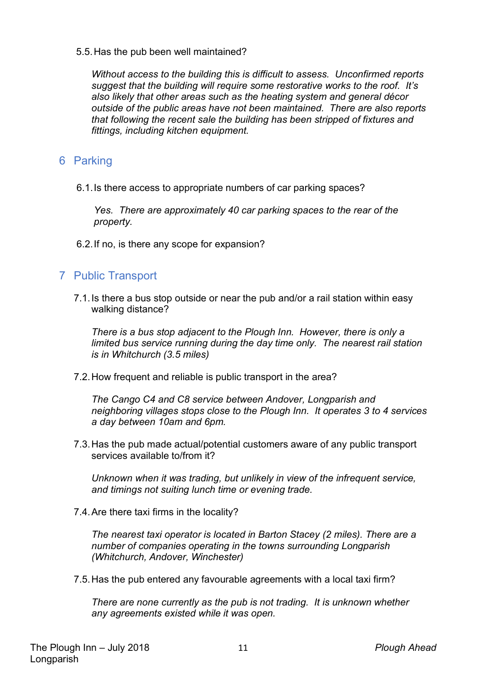5.5.Has the pub been well maintained?

*Without access to the building this is difficult to assess. Unconfirmed reports suggest that the building will require some restorative works to the roof. It's also likely that other areas such as the heating system and general décor outside of the public areas have not been maintained. There are also reports that following the recent sale the building has been stripped of fixtures and fittings, including kitchen equipment.*

#### 6 Parking

6.1.Is there access to appropriate numbers of car parking spaces?

*Yes. There are approximately 40 car parking spaces to the rear of the property.*

6.2.If no, is there any scope for expansion?

#### 7 Public Transport

7.1.Is there a bus stop outside or near the pub and/or a rail station within easy walking distance?

*There is a bus stop adjacent to the Plough Inn. However, there is only a limited bus service running during the day time only. The nearest rail station is in Whitchurch (3.5 miles)*

7.2.How frequent and reliable is public transport in the area?

*The Cango C4 and C8 service between Andover, Longparish and neighboring villages stops close to the Plough Inn. It operates 3 to 4 services a day between 10am and 6pm.*

7.3.Has the pub made actual/potential customers aware of any public transport services available to/from it?

*Unknown when it was trading, but unlikely in view of the infrequent service, and timings not suiting lunch time or evening trade.*

7.4.Are there taxi firms in the locality?

*The nearest taxi operator is located in Barton Stacey (2 miles). There are a number of companies operating in the towns surrounding Longparish (Whitchurch, Andover, Winchester)*

7.5.Has the pub entered any favourable agreements with a local taxi firm?

*There are none currently as the pub is not trading. It is unknown whether any agreements existed while it was open.*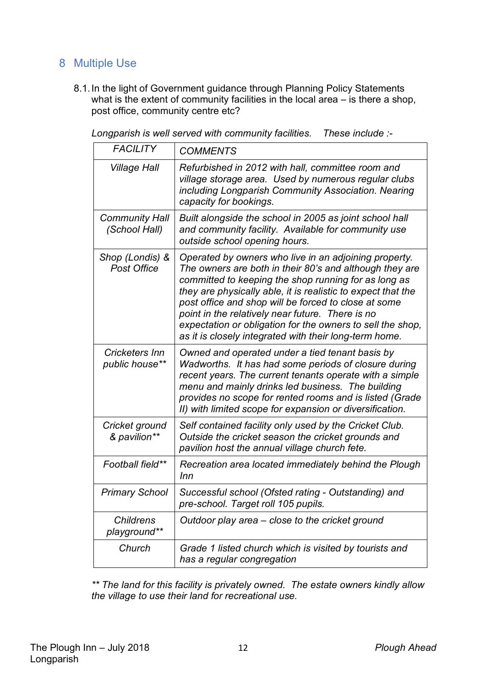# 8 Multiple Use

8.1.In the light of Government guidance through Planning Policy Statements what is the extent of community facilities in the local area – is there a shop, post office, community centre etc?

| <b>FACILITY</b>                        | <b>COMMENTS</b>                                                                                                                                                                                                                                                                                                                                                                                                                                                              |
|----------------------------------------|------------------------------------------------------------------------------------------------------------------------------------------------------------------------------------------------------------------------------------------------------------------------------------------------------------------------------------------------------------------------------------------------------------------------------------------------------------------------------|
| <b>Village Hall</b>                    | Refurbished in 2012 with hall, committee room and<br>village storage area. Used by numerous regular clubs<br>including Longparish Community Association. Nearing<br>capacity for bookings.                                                                                                                                                                                                                                                                                   |
| <b>Community Hall</b><br>(School Hall) | Built alongside the school in 2005 as joint school hall<br>and community facility. Available for community use<br>outside school opening hours.                                                                                                                                                                                                                                                                                                                              |
| Shop (Londis) &<br><b>Post Office</b>  | Operated by owners who live in an adjoining property.<br>The owners are both in their 80's and although they are<br>committed to keeping the shop running for as long as<br>they are physically able, it is realistic to expect that the<br>post office and shop will be forced to close at some<br>point in the relatively near future. There is no<br>expectation or obligation for the owners to sell the shop,<br>as it is closely integrated with their long-term home. |
| Cricketers Inn<br>public house**       | Owned and operated under a tied tenant basis by<br>Wadworths. It has had some periods of closure during<br>recent years. The current tenants operate with a simple<br>menu and mainly drinks led business. The building<br>provides no scope for rented rooms and is listed (Grade<br>II) with limited scope for expansion or diversification.                                                                                                                               |
| Cricket ground<br>& pavilion**         | Self contained facility only used by the Cricket Club.<br>Outside the cricket season the cricket grounds and<br>pavilion host the annual village church fete.                                                                                                                                                                                                                                                                                                                |
| Football field**                       | Recreation area located immediately behind the Plough<br>Inn                                                                                                                                                                                                                                                                                                                                                                                                                 |
| <b>Primary School</b>                  | Successful school (Ofsted rating - Outstanding) and<br>pre-school. Target roll 105 pupils.                                                                                                                                                                                                                                                                                                                                                                                   |
| <b>Childrens</b><br>playground**       | Outdoor play area – close to the cricket ground                                                                                                                                                                                                                                                                                                                                                                                                                              |
| Church                                 | Grade 1 listed church which is visited by tourists and<br>has a regular congregation                                                                                                                                                                                                                                                                                                                                                                                         |

*Longparish is well served with community facilities. These include :-*

*\*\* The land for this facility is privately owned. The estate owners kindly allow the village to use their land for recreational use.*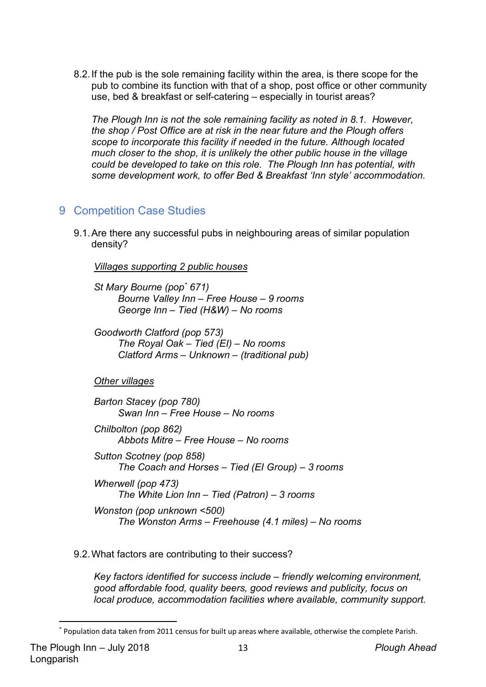8.2.If the pub is the sole remaining facility within the area, is there scope for the pub to combine its function with that of a shop, post office or other community use, bed & breakfast or self-catering – especially in tourist areas?

*The Plough Inn is not the sole remaining facility as noted in 8.1. However, the shop / Post Office are at risk in the near future and the Plough offers scope to incorporate this facility if needed in the future. Although located much closer to the shop, it is unlikely the other public house in the village could be developed to take on this role. The Plough Inn has potential, with some development work, to offer Bed & Breakfast 'Inn style' accommodation.* 

### 9 Competition Case Studies

9.1.Are there any successful pubs in neighbouring areas of similar population density?

*Villages supporting 2 public houses*

*St Mary Bourne (pop\* 671) Bourne Valley Inn – Free House – 9 rooms George Inn – Tied (H&W) – No rooms*

*Goodworth Clatford (pop 573) The Royal Oak – Tied (EI) – No rooms Clatford Arms – Unknown – (traditional pub)*

*Other villages*

*Barton Stacey (pop 780) Swan Inn – Free House – No rooms*

- *Chilbolton (pop 862) Abbots Mitre – Free House – No rooms*
- *Sutton Scotney (pop 858) The Coach and Horses – Tied (EI Group) – 3 rooms Wherwell (pop 473) The White Lion Inn – Tied (Patron) – 3 rooms*

*Wonston (pop unknown <500) The Wonston Arms – Freehouse (4.1 miles) – No rooms*

#### 9.2.What factors are contributing to their success?

*Key factors identified for success include – friendly welcoming environment, good affordable food, quality beers, good reviews and publicity, focus on local produce, accommodation facilities where available, community support.*

 <sup>\*</sup> Population data taken from 2011 census for built up areas where available, otherwise the complete Parish.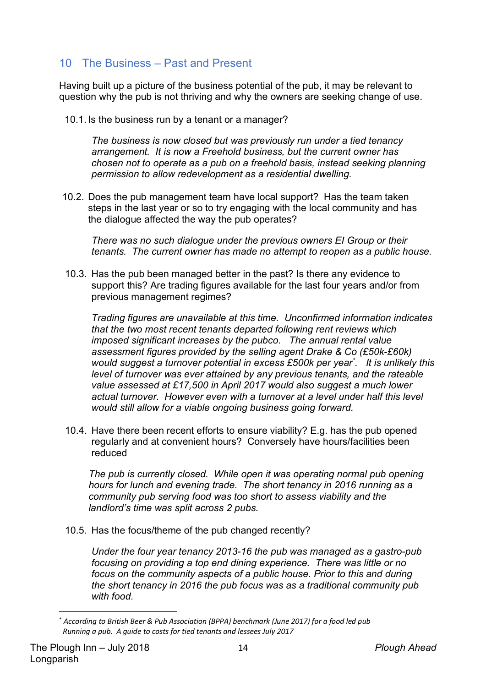# 10 The Business – Past and Present

Having built up a picture of the business potential of the pub, it may be relevant to question why the pub is not thriving and why the owners are seeking change of use.

10.1. Is the business run by a tenant or a manager?

*The business is now closed but was previously run under a tied tenancy arrangement. It is now a Freehold business, but the current owner has chosen not to operate as a pub on a freehold basis, instead seeking planning permission to allow redevelopment as a residential dwelling.*

10.2. Does the pub management team have local support? Has the team taken steps in the last year or so to try engaging with the local community and has the dialogue affected the way the pub operates?

*There was no such dialogue under the previous owners EI Group or their tenants. The current owner has made no attempt to reopen as a public house.*

10.3. Has the pub been managed better in the past? Is there any evidence to support this? Are trading figures available for the last four years and/or from previous management regimes?

*Trading figures are unavailable at this time. Unconfirmed information indicates that the two most recent tenants departed following rent reviews which imposed significant increases by the pubco. The annual rental value assessment figures provided by the selling agent Drake & Co (£50k-£60k) would suggest a turnover potential in excess £500k per year\* . It is unlikely this level of turnover was ever attained by any previous tenants, and the rateable value assessed at £17,500 in April 2017 would also suggest a much lower actual turnover. However even with a turnover at a level under half this level would still allow for a viable ongoing business going forward.*

10.4. Have there been recent efforts to ensure viability? E.g. has the pub opened regularly and at convenient hours? Conversely have hours/facilities been reduced

*The pub is currently closed. While open it was operating normal pub opening hours for lunch and evening trade. The short tenancy in 2016 running as a community pub serving food was too short to assess viability and the landlord's time was split across 2 pubs.* 

10.5. Has the focus/theme of the pub changed recently?

*Under the four year tenancy 2013-16 the pub was managed as a gastro-pub focusing on providing a top end dining experience. There was little or no focus on the community aspects of a public house. Prior to this and during the short tenancy in 2016 the pub focus was as a traditional community pub with food.*

 <sup>\*</sup> *According to British Beer & Pub Association (BPPA) benchmark (June 2017) for a food led pub Running a pub. A guide to costs for tied tenants and lessees July 2017*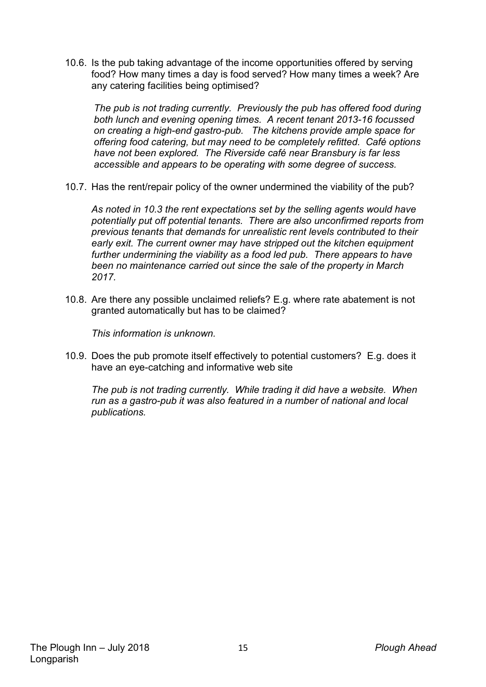10.6. Is the pub taking advantage of the income opportunities offered by serving food? How many times a day is food served? How many times a week? Are any catering facilities being optimised?

*The pub is not trading currently. Previously the pub has offered food during both lunch and evening opening times. A recent tenant 2013-16 focussed on creating a high-end gastro-pub. The kitchens provide ample space for offering food catering, but may need to be completely refitted. Café options have not been explored. The Riverside café near Bransbury is far less accessible and appears to be operating with some degree of success.*

10.7. Has the rent/repair policy of the owner undermined the viability of the pub?

*As noted in 10.3 the rent expectations set by the selling agents would have potentially put off potential tenants. There are also unconfirmed reports from previous tenants that demands for unrealistic rent levels contributed to their early exit. The current owner may have stripped out the kitchen equipment further undermining the viability as a food led pub. There appears to have been no maintenance carried out since the sale of the property in March 2017.*

10.8. Are there any possible unclaimed reliefs? E.g. where rate abatement is not granted automatically but has to be claimed?

*This information is unknown.*

10.9. Does the pub promote itself effectively to potential customers? E.g. does it have an eye-catching and informative web site

*The pub is not trading currently. While trading it did have a website. When run as a gastro-pub it was also featured in a number of national and local publications.*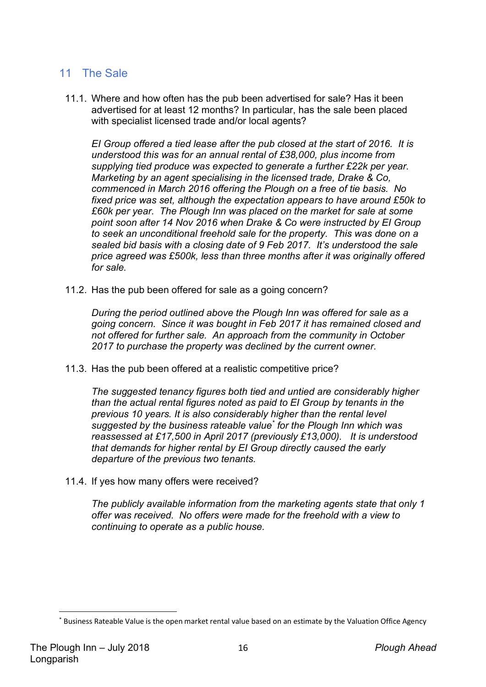### 11 The Sale

11.1. Where and how often has the pub been advertised for sale? Has it been advertised for at least 12 months? In particular, has the sale been placed with specialist licensed trade and/or local agents?

*EI Group offered a tied lease after the pub closed at the start of 2016. It is understood this was for an annual rental of £38,000, plus income from supplying tied produce was expected to generate a further £22k per year. Marketing by an agent specialising in the licensed trade, Drake & Co, commenced in March 2016 offering the Plough on a free of tie basis. No fixed price was set, although the expectation appears to have around £50k to £60k per year. The Plough Inn was placed on the market for sale at some point soon after 14 Nov 2016 when Drake & Co were instructed by EI Group to seek an unconditional freehold sale for the property. This was done on a sealed bid basis with a closing date of 9 Feb 2017. It's understood the sale price agreed was £500k, less than three months after it was originally offered for sale.* 

11.2. Has the pub been offered for sale as a going concern?

*During the period outlined above the Plough Inn was offered for sale as a going concern. Since it was bought in Feb 2017 it has remained closed and not offered for further sale. An approach from the community in October 2017 to purchase the property was declined by the current owner.*

11.3. Has the pub been offered at a realistic competitive price?

*The suggested tenancy figures both tied and untied are considerably higher than the actual rental figures noted as paid to EI Group by tenants in the previous 10 years. It is also considerably higher than the rental level suggested by the business rateable value\* for the Plough Inn which was reassessed at £17,500 in April 2017 (previously £13,000). It is understood that demands for higher rental by EI Group directly caused the early departure of the previous two tenants.* 

11.4. If yes how many offers were received?

*The publicly available information from the marketing agents state that only 1 offer was received. No offers were made for the freehold with a view to continuing to operate as a public house.* 

Business Rateable Value is the open market rental value based on an estimate by the Valuation Office Agency